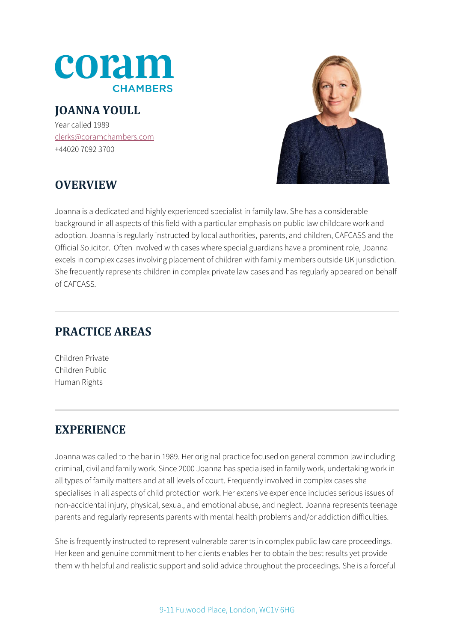

### **JOANNA YOULL**

Year called 1989 [clerks@coramchambers.com](mailto:clerks@coramchambers.com) +44020 7092 3700



## **OVERVIEW**

Joanna is a dedicated and highly experienced specialist in family law. She has a considerable background in all aspects of this field with a particular emphasis on public law childcare work and adoption. Joanna is regularly instructed by local authorities, parents, and children, CAFCASS and the Official Solicitor. Often involved with cases where special guardians have a prominent role, Joanna excels in complex cases involving placement of children with family members outside UK jurisdiction. She frequently represents children in complex private law cases and has regularly appeared on behalf of CAFCASS.

#### **PRACTICE AREAS**

Children Private Children Public Human Rights

#### **EXPERIENCE**

Joanna was called to the bar in 1989. Her original practice focused on general common law including criminal, civil and family work. Since 2000 Joanna has specialised in family work, undertaking work in all types of family matters and at all levels of court. Frequently involved in complex cases she specialises in all aspects of child protection work. Her extensive experience includes serious issues of non-accidental injury, physical, sexual, and emotional abuse, and neglect. Joanna represents teenage parents and regularly represents parents with mental health problems and/or addiction difficulties.

She is frequently instructed to represent vulnerable parents in complex public law care proceedings. Her keen and genuine commitment to her clients enables her to obtain the best results yet provide them with helpful and realistic support and solid advice throughout the proceedings. She is a forceful